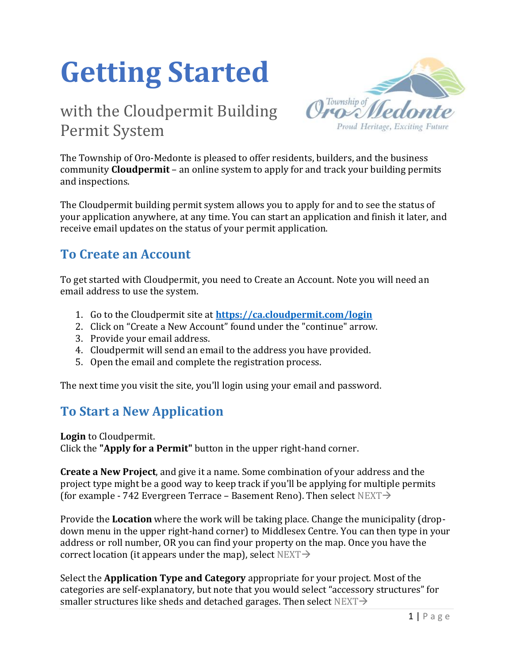# **Getting Started**

# with the Cloudpermit Building Permit System



The Township of Oro-Medonte is pleased to offer residents, builders, and the business community **Cloudpermit** – an online system to apply for and track your building permits and inspections.

The Cloudpermit building permit system allows you to apply for and to see the status of your application anywhere, at any time. You can start an application and finish it later, and receive email updates on the status of your permit application.

### **To Create an Account**

To get started with Cloudpermit, you need to Create an Account. Note you will need an email address to use the system.

- 1. Go to the Cloudpermit site at **<https://ca.cloudpermit.com/login>**
- 2. Click on "Create a New Account" found under the "continue" arrow.
- 3. Provide your email address.
- 4. Cloudpermit will send an email to the address you have provided.
- 5. Open the email and complete the registration process.

The next time you visit the site, you'll login using your email and password.

# **To Start a New Application**

**Login** to Cloudpermit. Click the **"Apply for a Permit"** button in the upper right-hand corner.

**Create a New Project**, and give it a name. Some combination of your address and the project type might be a good way to keep track if you'll be applying for multiple permits (for example - 742 Evergreen Terrace – Basement Reno). Then select  $NEXT\rightarrow$ 

Provide the **Location** where the work will be taking place. Change the municipality (dropdown menu in the upper right-hand corner) to Middlesex Centre. You can then type in your address or roll number, OR you can find your property on the map. Once you have the correct location (it appears under the map), select NEXT $\rightarrow$ 

Select the **Application Type and Category** appropriate for your project. Most of the categories are self-explanatory, but note that you would select "accessory structures" for smaller structures like sheds and detached garages. Then select  $NEXT\rightarrow$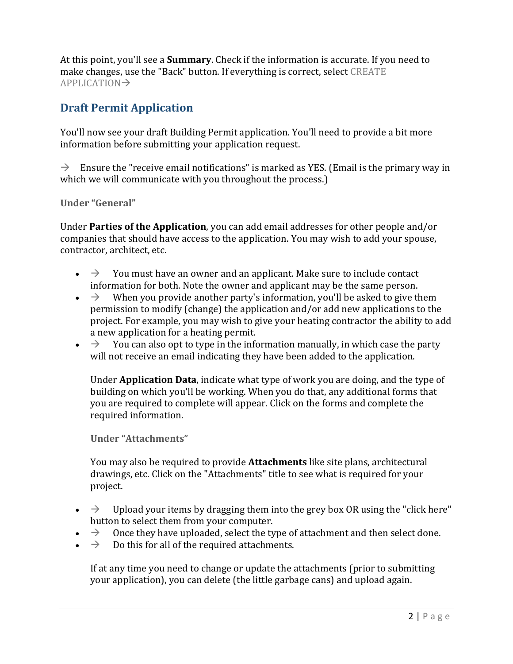At this point, you'll see a **Summary**. Check if the information is accurate. If you need to make changes, use the "Back" button. If everything is correct, select CREATE APPLICATION→

#### **Draft Permit Application**

You'll now see your draft Building Permit application. You'll need to provide a bit more information before submitting your application request.

 $\rightarrow$  Ensure the "receive email notifications" is marked as YES. (Email is the primary way in which we will communicate with you throughout the process.)

**Under "General"** 

Under **Parties of the Application**, you can add email addresses for other people and/or companies that should have access to the application. You may wish to add your spouse, contractor, architect, etc.

- $\rightarrow$  You must have an owner and an applicant. Make sure to include contact information for both. Note the owner and applicant may be the same person.
- $\rightarrow$  When you provide another party's information, you'll be asked to give them permission to modify (change) the application and/or add new applications to the project. For example, you may wish to give your heating contractor the ability to add a new application for a heating permit.
- $\rightarrow$  You can also opt to type in the information manually, in which case the party will not receive an email indicating they have been added to the application.

Under **Application Data**, indicate what type of work you are doing, and the type of building on which you'll be working. When you do that, any additional forms that you are required to complete will appear. Click on the forms and complete the required information.

**Under "Attachments"** 

You may also be required to provide **Attachments** like site plans, architectural drawings, etc. Click on the "Attachments" title to see what is required for your project.

- $\rightarrow$  Upload your items by dragging them into the grey box OR using the "click here" button to select them from your computer.
- $\rightarrow$  Once they have uploaded, select the type of attachment and then select done.
- $\rightarrow$  Do this for all of the required attachments.

If at any time you need to change or update the attachments (prior to submitting your application), you can delete (the little garbage cans) and upload again.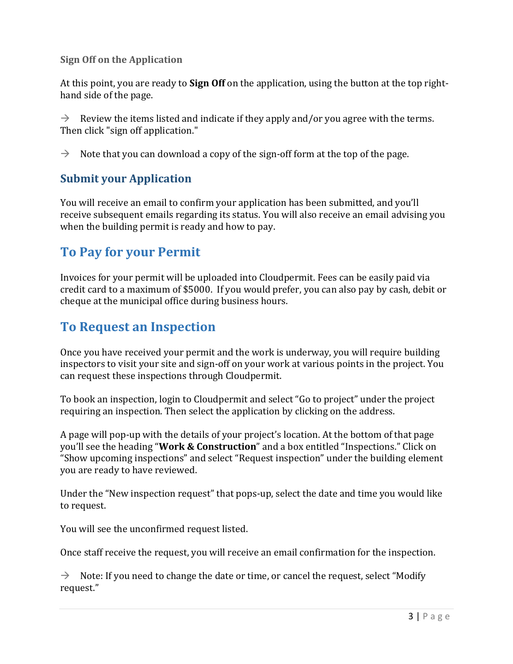#### **Sign Off on the Application**

At this point, you are ready to **Sign Off** on the application, using the button at the top righthand side of the page.

 $\rightarrow$  Review the items listed and indicate if they apply and/or you agree with the terms. Then click "sign off application."

 $\rightarrow$  Note that you can download a copy of the sign-off form at the top of the page.

#### **Submit your Application**

You will receive an email to confirm your application has been submitted, and you'll receive subsequent emails regarding its status. You will also receive an email advising you when the building permit is ready and how to pay.

# **To Pay for your Permit**

Invoices for your permit will be uploaded into Cloudpermit. Fees can be easily paid via credit card to a maximum of \$5000. If you would prefer, you can also pay by cash, debit or cheque at the municipal office during business hours.

# **To Request an Inspection**

Once you have received your permit and the work is underway, you will require building inspectors to visit your site and sign-off on your work at various points in the project. You can request these inspections through Cloudpermit.

To book an inspection, login to Cloudpermit and select "Go to project" under the project requiring an inspection. Then select the application by clicking on the address.

A page will pop-up with the details of your project's location. At the bottom of that page you'll see the heading "**Work & Construction**" and a box entitled "Inspections." Click on "Show upcoming inspections" and select "Request inspection" under the building element you are ready to have reviewed.

Under the "New inspection request" that pops-up, select the date and time you would like to request.

You will see the unconfirmed request listed.

Once staff receive the request, you will receive an email confirmation for the inspection.

 $\rightarrow$  Note: If you need to change the date or time, or cancel the request, select "Modify" request."